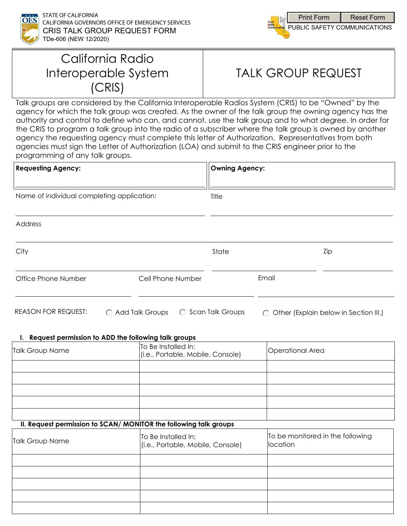



## California Radio Interoperable System (CRIS)

# TALK GROUP REQUEST

Talk groups are considered by the California Interoperable Radios System (CRIS) to be "Owned" by the agency for which the talk group was created. As the owner of the talk group the owning agency has the authority and control to define who can, and cannot, use the talk group and to what degree. In order for the CRIS to program a talk group into the radio of a subscriber where the talk group is owned by another agency the requesting agency must complete this letter of Authorization. Representatives from both agencies must sign the Letter of Authorization (LOA) and submit to the CRIS engineer prior to the programming of any talk groups.

| <b>Requesting Agency:</b>                  |                   | Owning Agency:     |           |                                       |
|--------------------------------------------|-------------------|--------------------|-----------|---------------------------------------|
| Name of individual completing application: |                   | Title              |           |                                       |
| Address                                    |                   |                    |           |                                       |
| City                                       |                   | State              |           | Zip                                   |
| Office Phone Number                        | Cell Phone Number |                    | Email     |                                       |
| <b>REASON FOR REQUEST:</b>                 | ◯ Add Talk Groups | ○ Scan Talk Groups | $\bigcap$ | Other (Explain below in Section III.) |

#### **I. Request permission to ADD the following talk groups**

| <b>Talk Group Name</b> | To Be Installed In:<br>(i.e., Portable, Mobile, Console) | Operational Area |
|------------------------|----------------------------------------------------------|------------------|
|                        |                                                          |                  |
|                        |                                                          |                  |
|                        |                                                          |                  |
|                        |                                                          |                  |
|                        |                                                          |                  |

### **II. Request permission to SCAN/ MONITOR the following talk groups**

| Talk Group Name | To Be Installed In:<br>(i.e., Portable, Mobile, Console) | To be monitored in the following<br>location |
|-----------------|----------------------------------------------------------|----------------------------------------------|
|                 |                                                          |                                              |
|                 |                                                          |                                              |
|                 |                                                          |                                              |
|                 |                                                          |                                              |
|                 |                                                          |                                              |